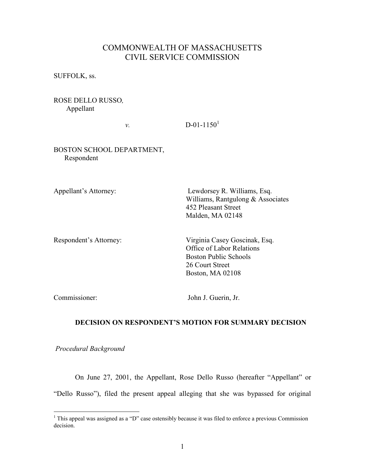# COMMONWEALTH OF MASSACHUSETTS CIVIL SERVICE COMMISSION

SUFFOLK, ss.

## ROSE DELLO RUSSO, Appellant

 $v.$  D-01-1150<sup>1</sup>

### BOSTON SCHOOL DEPARTMENT, Respondent

Appellant's Attorney: Lewdorsey R. Williams, Esq. Williams, Rantgulong & Associates 452 Pleasant Street Malden, MA 02148

Respondent's Attorney: Virginia Casey Goscinak, Esq. Office of Labor Relations Boston Public Schools 26 Court Street Boston, MA 02108

Commissioner: John J. Guerin, Jr.

## DECISION ON RESPONDENT'S MOTION FOR SUMMARY DECISION

Procedural Background

On June 27, 2001, the Appellant, Rose Dello Russo (hereafter "Appellant" or "Dello Russo"), filed the present appeal alleging that she was bypassed for original

<sup>&</sup>lt;sup>1</sup> This appeal was assigned as a "D" case ostensibly because it was filed to enforce a previous Commission decision.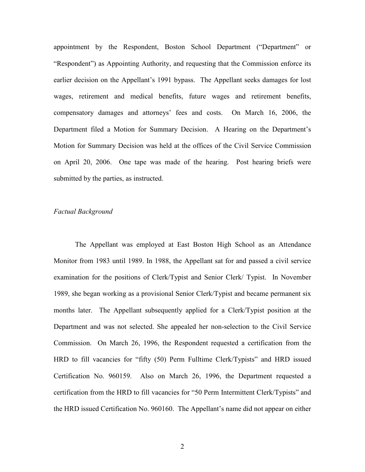appointment by the Respondent, Boston School Department ("Department" or "Respondent") as Appointing Authority, and requesting that the Commission enforce its earlier decision on the Appellant's 1991 bypass. The Appellant seeks damages for lost wages, retirement and medical benefits, future wages and retirement benefits, compensatory damages and attorneys' fees and costs. On March 16, 2006, the Department filed a Motion for Summary Decision. A Hearing on the Department's Motion for Summary Decision was held at the offices of the Civil Service Commission on April 20, 2006. One tape was made of the hearing. Post hearing briefs were submitted by the parties, as instructed.

#### Factual Background

The Appellant was employed at East Boston High School as an Attendance Monitor from 1983 until 1989. In 1988, the Appellant sat for and passed a civil service examination for the positions of Clerk/Typist and Senior Clerk/ Typist. In November 1989, she began working as a provisional Senior Clerk/Typist and became permanent six months later. The Appellant subsequently applied for a Clerk/Typist position at the Department and was not selected. She appealed her non-selection to the Civil Service Commission. On March 26, 1996, the Respondent requested a certification from the HRD to fill vacancies for "fifty (50) Perm Fulltime Clerk/Typists" and HRD issued Certification No. 960159. Also on March 26, 1996, the Department requested a certification from the HRD to fill vacancies for "50 Perm Intermittent Clerk/Typists" and the HRD issued Certification No. 960160. The Appellant's name did not appear on either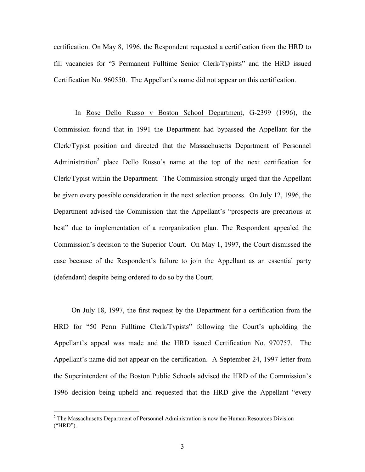certification. On May 8, 1996, the Respondent requested a certification from the HRD to fill vacancies for "3 Permanent Fulltime Senior Clerk/Typists" and the HRD issued Certification No. 960550. The Appellant's name did not appear on this certification.

In Rose Dello Russo v Boston School Department, G-2399 (1996), the Commission found that in 1991 the Department had bypassed the Appellant for the Clerk/Typist position and directed that the Massachusetts Department of Personnel Administration<sup>2</sup> place Dello Russo's name at the top of the next certification for Clerk/Typist within the Department. The Commission strongly urged that the Appellant be given every possible consideration in the next selection process. On July 12, 1996, the Department advised the Commission that the Appellant's "prospects are precarious at best" due to implementation of a reorganization plan. The Respondent appealed the Commission's decision to the Superior Court. On May 1, 1997, the Court dismissed the case because of the Respondent's failure to join the Appellant as an essential party (defendant) despite being ordered to do so by the Court.

 On July 18, 1997, the first request by the Department for a certification from the HRD for "50 Perm Fulltime Clerk/Typists" following the Court's upholding the Appellant's appeal was made and the HRD issued Certification No. 970757. The Appellant's name did not appear on the certification. A September 24, 1997 letter from the Superintendent of the Boston Public Schools advised the HRD of the Commission's 1996 decision being upheld and requested that the HRD give the Appellant "every

<sup>&</sup>lt;sup>2</sup> The Massachusetts Department of Personnel Administration is now the Human Resources Division ("HRD").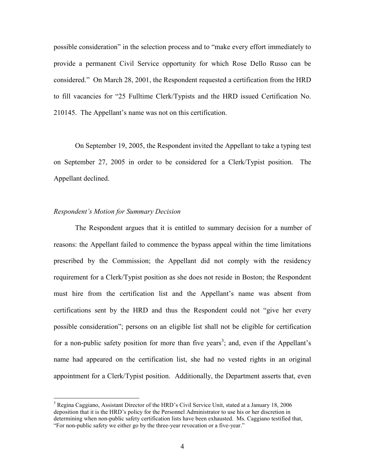possible consideration" in the selection process and to "make every effort immediately to provide a permanent Civil Service opportunity for which Rose Dello Russo can be considered." On March 28, 2001, the Respondent requested a certification from the HRD to fill vacancies for "25 Fulltime Clerk/Typists and the HRD issued Certification No. 210145. The Appellant's name was not on this certification.

On September 19, 2005, the Respondent invited the Appellant to take a typing test on September 27, 2005 in order to be considered for a Clerk/Typist position. The Appellant declined.

### Respondent's Motion for Summary Decision

 $\overline{a}$ 

 The Respondent argues that it is entitled to summary decision for a number of reasons: the Appellant failed to commence the bypass appeal within the time limitations prescribed by the Commission; the Appellant did not comply with the residency requirement for a Clerk/Typist position as she does not reside in Boston; the Respondent must hire from the certification list and the Appellant's name was absent from certifications sent by the HRD and thus the Respondent could not "give her every possible consideration"; persons on an eligible list shall not be eligible for certification for a non-public safety position for more than five years<sup>3</sup>; and, even if the Appellant's name had appeared on the certification list, she had no vested rights in an original appointment for a Clerk/Typist position. Additionally, the Department asserts that, even

<sup>&</sup>lt;sup>3</sup> Regina Caggiano, Assistant Director of the HRD's Civil Service Unit, stated at a January 18, 2006 deposition that it is the HRD's policy for the Personnel Administrator to use his or her discretion in determining when non-public safety certification lists have been exhausted. Ms. Caggiano testified that, "For non-public safety we either go by the three-year revocation or a five-year."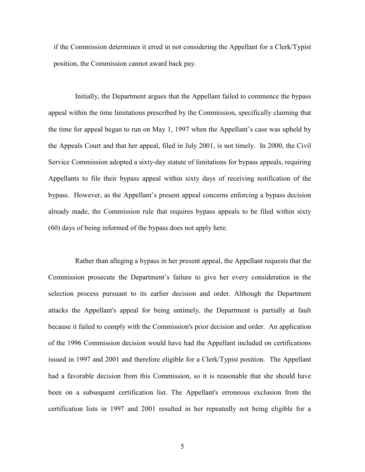if the Commission determines it erred in not considering the Appellant for a Clerk/Typist position, the Commission cannot award back pay.

Initially, the Department argues that the Appellant failed to commence the bypass appeal within the time limitations prescribed by the Commission, specifically claiming that the time for appeal began to run on May 1, 1997 when the Appellant's case was upheld by the Appeals Court and that her appeal, filed in July 2001, is not timely. In 2000, the Civil Service Commission adopted a sixty-day statute of limitations for bypass appeals, requiring Appellants to file their bypass appeal within sixty days of receiving notification of the bypass. However, as the Appellant's present appeal concerns enforcing a bypass decision already made, the Commission rule that requires bypass appeals to be filed within sixty (60) days of being informed of the bypass does not apply here.

Rather than alleging a bypass in her present appeal, the Appellant requests that the Commission prosecute the Department's failure to give her every consideration in the selection process pursuant to its earlier decision and order. Although the Department attacks the Appellant's appeal for being untimely, the Department is partially at fault because it failed to comply with the Commission's prior decision and order. An application of the 1996 Commission decision would have had the Appellant included on certifications issued in 1997 and 2001 and therefore eligible for a Clerk/Typist position. The Appellant had a favorable decision from this Commission, so it is reasonable that she should have been on a subsequent certification list. The Appellant's erroneous exclusion from the certification lists in 1997 and 2001 resulted in her repeatedly not being eligible for a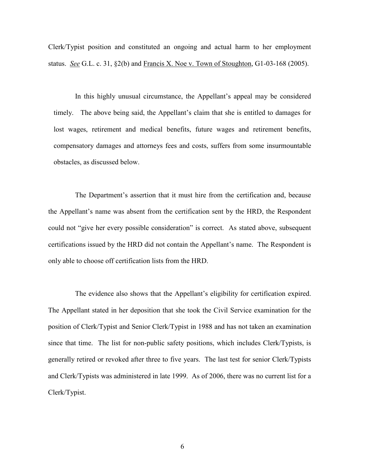Clerk/Typist position and constituted an ongoing and actual harm to her employment status. See G.L. c. 31, §2(b) and Francis X. Noe v. Town of Stoughton, G1-03-168 (2005).

In this highly unusual circumstance, the Appellant's appeal may be considered timely. The above being said, the Appellant's claim that she is entitled to damages for lost wages, retirement and medical benefits, future wages and retirement benefits, compensatory damages and attorneys fees and costs, suffers from some insurmountable obstacles, as discussed below.

The Department's assertion that it must hire from the certification and, because the Appellant's name was absent from the certification sent by the HRD, the Respondent could not "give her every possible consideration" is correct. As stated above, subsequent certifications issued by the HRD did not contain the Appellant's name. The Respondent is only able to choose off certification lists from the HRD.

The evidence also shows that the Appellant's eligibility for certification expired. The Appellant stated in her deposition that she took the Civil Service examination for the position of Clerk/Typist and Senior Clerk/Typist in 1988 and has not taken an examination since that time. The list for non-public safety positions, which includes Clerk/Typists, is generally retired or revoked after three to five years. The last test for senior Clerk/Typists and Clerk/Typists was administered in late 1999. As of 2006, there was no current list for a Clerk/Typist.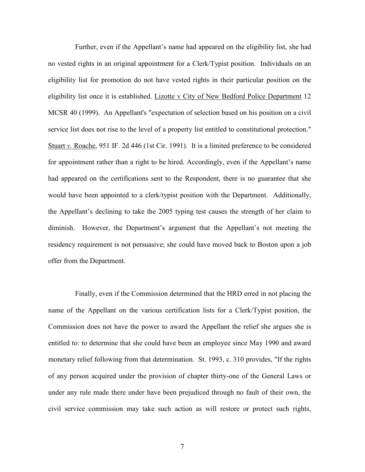Further, even if the Appellant's name had appeared on the eligibility list, she had no vested rights in an original appointment for a Clerk/Typist position. Individuals on an eligibility list for promotion do not have vested rights in their particular position on the eligibility list once it is established. Lizotte v City of New Bedford Police Department 12 MCSR 40 (1999). An Appellant's "expectation of selection based on his position on a civil service list does not rise to the level of a property list entitled to constitutional protection." Stuart v. Roache, 951 IF. 2d 446 (1st Cir. 1991). It is a limited preference to be considered for appointment rather than a right to be hired. Accordingly, even if the Appellant's name had appeared on the certifications sent to the Respondent, there is no guarantee that she would have been appointed to a clerk/typist position with the Department. Additionally, the Appellant's declining to take the 2005 typing test causes the strength of her claim to diminish. However, the Department's argument that the Appellant's not meeting the residency requirement is not persuasive; she could have moved back to Boston upon a job offer from the Department.

Finally, even if the Commission determined that the HRD erred in not placing the name of the Appellant on the various certification lists for a Clerk/Typist position, the Commission does not have the power to award the Appellant the relief she argues she is entitled to: to determine that she could have been an employee since May 1990 and award monetary relief following from that determination. St. 1993, c. 310 provides, "If the rights of any person acquired under the provision of chapter thirty-one of the General Laws or under any rule made there under have been prejudiced through no fault of their own, the civil service commission may take such action as will restore or protect such rights,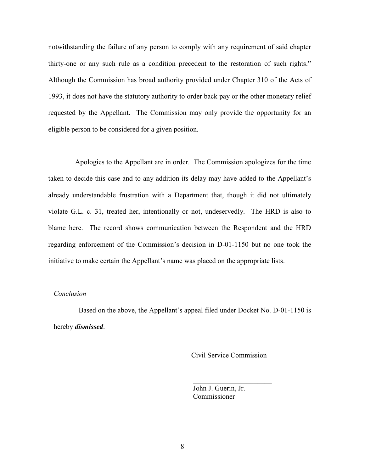notwithstanding the failure of any person to comply with any requirement of said chapter thirty-one or any such rule as a condition precedent to the restoration of such rights." Although the Commission has broad authority provided under Chapter 310 of the Acts of 1993, it does not have the statutory authority to order back pay or the other monetary relief requested by the Appellant. The Commission may only provide the opportunity for an eligible person to be considered for a given position.

Apologies to the Appellant are in order. The Commission apologizes for the time taken to decide this case and to any addition its delay may have added to the Appellant's already understandable frustration with a Department that, though it did not ultimately violate G.L. c. 31, treated her, intentionally or not, undeservedly. The HRD is also to blame here. The record shows communication between the Respondent and the HRD regarding enforcement of the Commission's decision in D-01-1150 but no one took the initiative to make certain the Appellant's name was placed on the appropriate lists.

## Conclusion

 Based on the above, the Appellant's appeal filed under Docket No. D-01-1150 is hereby *dismissed*.

 $\mathcal{L}_\text{max}$  , which is a set of the set of the set of the set of the set of the set of the set of the set of the set of the set of the set of the set of the set of the set of the set of the set of the set of the set of

Civil Service Commission

 John J. Guerin, Jr. Commissioner